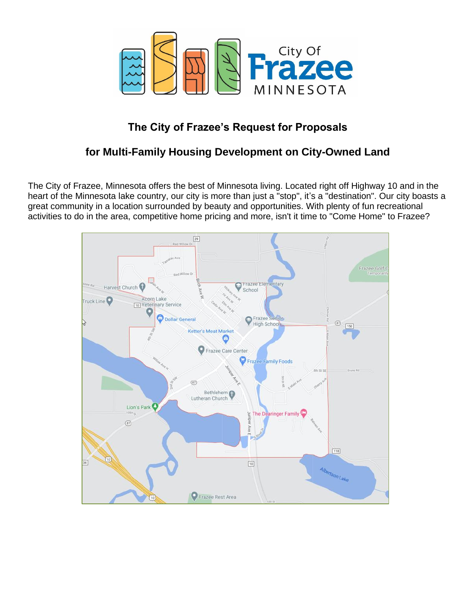

# **The City of Frazee's Request for Proposals**

# **for Multi-Family Housing Development on City-Owned Land**

The City of Frazee, Minnesota offers the best of Minnesota living. Located right off Highway 10 and in the heart of the Minnesota lake country, our city is more than just a "stop", it's a "destination". Our city boasts a great community in a location surrounded by beauty and opportunities. With plenty of fun recreational activities to do in the area, competitive home pricing and more, isn't it time to "Come Home" to Frazee?

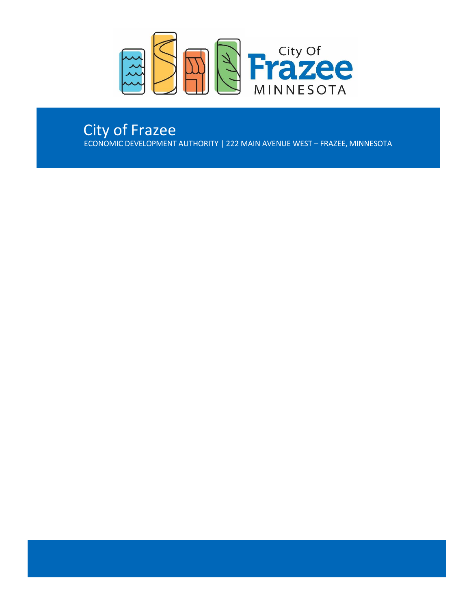

# City of Frazee

ECONOMIC DEVELOPMENT AUTHORITY | 222 MAIN AVENUE WEST – FRAZEE, MINNESOTA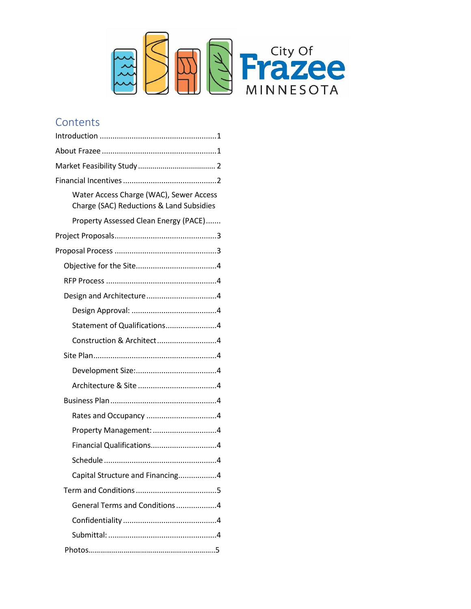

# **Contents**

| Water Access Charge (WAC), Sewer Access<br>Charge (SAC) Reductions & Land Subsidies |
|-------------------------------------------------------------------------------------|
| Property Assessed Clean Energy (PACE)                                               |
|                                                                                     |
|                                                                                     |
|                                                                                     |
|                                                                                     |
| Design and Architecture4                                                            |
|                                                                                     |
| Statement of Qualifications4                                                        |
| Construction & Architect4                                                           |
|                                                                                     |
|                                                                                     |
|                                                                                     |
|                                                                                     |
|                                                                                     |
| Property Management: 4                                                              |
| Financial Qualifications4                                                           |
|                                                                                     |
| Capital Structure and Financing4                                                    |
|                                                                                     |
| General Terms and Conditions4                                                       |
|                                                                                     |
|                                                                                     |
|                                                                                     |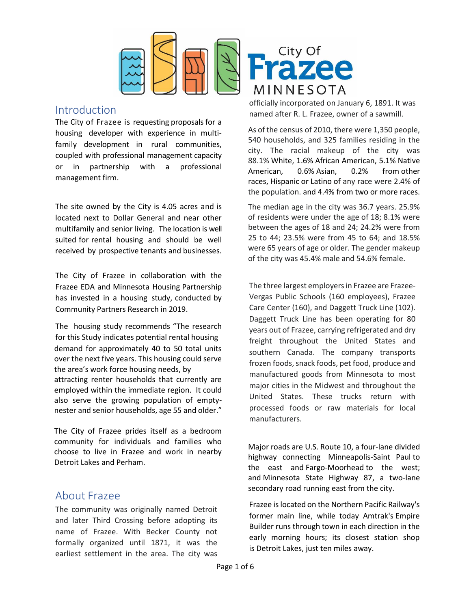

# <span id="page-3-0"></span>Introduction

The City of Frazee is requesting proposals for a housing developer with experience in multifamily development in rural communities, coupled with professional management capacity or in partnership with a professional management firm.

The site owned by the City is 4.05 acres and is located next to Dollar General and near other multifamily and senior living. The location is well suited for rental housing and should be well received by prospective tenants and businesses.

The City of Frazee in collaboration with the Frazee EDA and Minnesota Housing Partnership has invested in a housing study, conducted by Community Partners Research in 2019.

The housing study recommends "The research for this Study indicates potential rental housing demand for approximately 40 to 50 total units over the next five years. This housing could serve the area's work force housing needs, by attracting renter households that currently are employed within the immediate region. It could also serve the growing population of emptynester and senior households, age 55 and older."

The City of Frazee prides itself as a bedroom community for individuals and families who choose to live in Frazee and work in nearby Detroit Lakes and Perham.

# About Frazee

The community was originally named Detroit and later Third Crossing before adopting its name of Frazee. With Becker County not formally organized until 1871, it was the earliest settlement in the area. The city was



officially incorporated on January 6, 1891. It was named after R. L. Frazee, owner of a sawmill.

As of the census of 2010, there were 1,350 people, 540 households, and 325 families residing in the city. The racial makeup of the city was 88.1% [White,](https://en.wikipedia.org/wiki/White_(U.S._Census)) 1.6% [African American,](https://en.wikipedia.org/wiki/African_American_(U.S._Census)) 5.1% [Native](https://en.wikipedia.org/wiki/Native_American_(U.S._Census))  [American,](https://en.wikipedia.org/wiki/Native_American_(U.S._Census)) 0.6% [Asian,](https://en.wikipedia.org/wiki/Asian_(U.S._Census)) 0.2% from [other](https://en.wikipedia.org/wiki/Race_(U.S._Census))  [races,](https://en.wikipedia.org/wiki/Race_(U.S._Census)) [Hispanic](https://en.wikipedia.org/wiki/Hispanic_(U.S._Census)) or [Latino](https://en.wikipedia.org/wiki/Latino_(U.S._Census)) of any race were 2.4% of the population. and 4.4% from two or more races.

The median age in the city was 36.7 years. 25.9% of residents were under the age of 18; 8.1% were between the ages of 18 and 24; 24.2% were from 25 to 44; 23.5% were from 45 to 64; and 18.5% were 65 years of age or older. The gender makeup of the city was 45.4% male and 54.6% female.

The three largest employers in Frazee are Frazee-Vergas Public Schools (160 employees), Frazee Care Center (160), and Daggett Truck Line (102). Daggett Truck Line has been operating for 80 years out of Frazee, carrying refrigerated and dry freight throughout the United States and southern Canada. The company transports frozen foods, snack foods, pet food, produce and manufactured goods from Minnesota to most major cities in the Midwest and throughout the United States. These trucks return with processed foods or raw materials for local manufacturers.

Major roads are [U.S. Route 10,](https://en.wikipedia.org/wiki/U.S._Route_10_in_Minnesota) a four-lane divided highway connecting [Minneapolis-Saint Paul](https://en.wikipedia.org/wiki/Minneapolis-Saint_Paul) to the east and [Fargo-Moorhead](https://en.wikipedia.org/wiki/Fargo-Moorhead) to the west; and [Minnesota State Highway 87,](https://en.wikipedia.org/wiki/Minnesota_State_Highway_87) a two-lane secondary road running east from the city.

Frazee is located on the [Northern Pacific Railway'](https://en.wikipedia.org/wiki/Northern_Pacific_Railway)s former main line, while today Amtrak's [Empire](https://en.wikipedia.org/wiki/Empire_Builder)  [Builder](https://en.wikipedia.org/wiki/Empire_Builder) runs through town in each direction in the early morning hours; its closest station shop is [Detroit Lakes,](https://en.wikipedia.org/wiki/Detroit_Lakes_station) just ten miles away.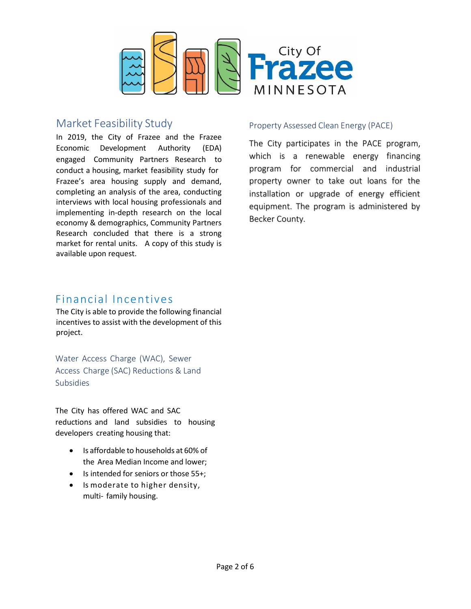

# <span id="page-4-0"></span>Market Feasibility Study

In 2019, the City of Frazee and the Frazee Economic Development Authority (EDA) engaged Community Partners Research to conduct a housing, market feasibility study for Frazee's area housing supply and demand, completing an analysis of the area, conducting interviews with local housing professionals and implementing in-depth research on the local economy & demographics, Community Partners Research concluded that there is a strong market for rental units. A copy of this study is available upon request.

# Financial Incentives

The City is able to provide the following financial incentives to assist with the development of this project.

Water Access Charge (WAC), Sewer Access Charge (SAC) Reductions & Land Subsidies

The City has offered WAC and SAC reductions and land subsidies to housing developers creating housing that:

- Is affordable to households at 60% of the Area Median Income and lower;
- Is intended for seniors or those 55+;
- <span id="page-4-1"></span>• Is moderate to higher density, multi- family housing.

### Property Assessed Clean Energy (PACE)

The City participates in the PACE program, which is a renewable energy financing program for commercial and industrial property owner to take out loans for the installation or upgrade of energy efficient equipment. The program is administered by Becker County.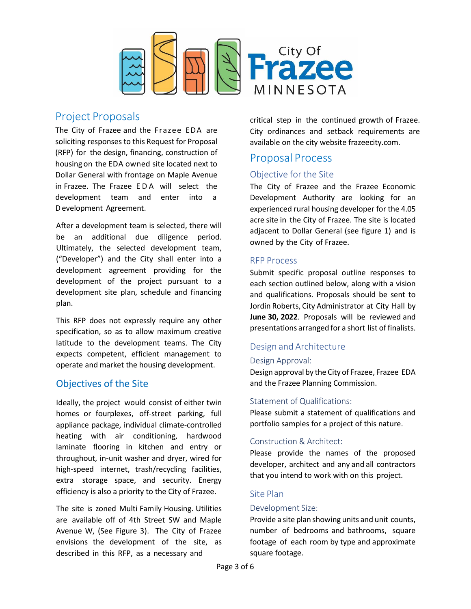

# <span id="page-5-1"></span><span id="page-5-0"></span>Project Proposals

The City of Frazee and the Frazee EDA are soliciting responses to this Request for Proposal (RFP) for the design, financing, construction of housing on the EDA owned site located next to Dollar General with frontage on Maple Avenue in Frazee. The Frazee E D A will select the development team and enter into a Development Agreement.

After a development team is selected, there will be an additional due diligence period. Ultimately, the selected development team, ("Developer") and the City shall enter into a development agreement providing for the development of the project pursuant to a development site plan, schedule and financing plan.

This RFP does not expressly require any other specification, so as to allow maximum creative latitude to the development teams. The City expects competent, efficient management to operate and market the housing development.

# Objectives of the Site

Ideally, the project would consist of either twin homes or fourplexes, off-street parking, full appliance package, individual climate-controlled heating with air conditioning, hardwood laminate flooring in kitchen and entry or throughout, in-unit washer and dryer, wired for high-speed internet, trash/recycling facilities, extra storage space, and security. Energy efficiency is also a priority to the City of Frazee.

The site is zoned Multi Family Housing. Utilities are available off of 4th Street SW and Maple Avenue W, (See Figure 3). The City of Frazee envisions the development of the site, as described in this RFP, as a necessary and

critical step in the continued growth of Frazee. City ordinances and setback requirements are available on the city website frazeecity.com.

# Proposal Process

# <span id="page-5-3"></span>Objective for the Site

The City of Frazee and the Frazee Economic Development Authority are looking for an experienced rural housing developer for the 4.05 acre site in the City of Frazee. The site is located adjacent to Dollar General (see figure 1) and is owned by the City of Frazee.

### <span id="page-5-4"></span>RFP Process

Submit specific proposal outline responses to each section outlined below, along with a vision and qualifications. Proposals should be sent to Jordin Roberts, City Administrator at City Hall by **June 30, 2022**. Proposals will be reviewed and presentations arranged for a short list of finalists.

# <span id="page-5-5"></span>Design and Architecture

### <span id="page-5-6"></span>Design Approval:

Design approval by the City of Frazee, Frazee EDA and the Frazee Planning Commission.

### <span id="page-5-7"></span>Statement of Qualifications:

Please submit a statement of qualifications and portfolio samples for a project of this nature.

# <span id="page-5-8"></span>Construction & Architect:

Please provide the names of the proposed developer, architect and any and all contractors that you intend to work with on this project.

# <span id="page-5-9"></span>Site Plan

### <span id="page-5-10"></span>Development Size:

<span id="page-5-2"></span>Provide a site plan showing units and unit counts, number of bedrooms and bathrooms, square footage of each room by type and approximate square footage.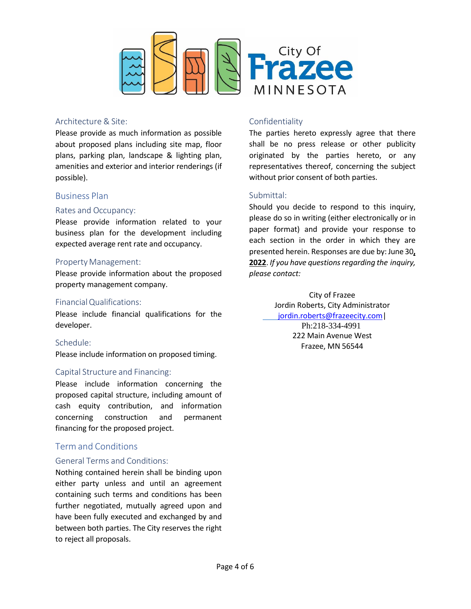

#### <span id="page-6-0"></span>Architecture & Site:

Please provide as much information as possible about proposed plans including site map, floor plans, parking plan, landscape & lighting plan, amenities and exterior and interior renderings (if possible).

### <span id="page-6-1"></span>Business Plan

#### <span id="page-6-2"></span>Rates and Occupancy:

Please provide information related to your business plan for the development including expected average rent rate and occupancy.

#### <span id="page-6-3"></span>Property Management:

Please provide information about the proposed property management company.

#### <span id="page-6-4"></span>Financial Qualifications:

Please include financial qualifications for the developer.

### <span id="page-6-5"></span>Schedule:

Please include information on proposed timing.

### <span id="page-6-6"></span>Capital Structure and Financing:

Please include information concerning the proposed capital structure, including amount of cash equity contribution, and information concerning construction and permanent financing for the proposed project.

# <span id="page-6-7"></span>Term and Conditions

### <span id="page-6-8"></span>General Terms and Conditions:

Nothing contained herein shall be binding upon either party unless and until an agreement containing such terms and conditions has been further negotiated, mutually agreed upon and have been fully executed and exchanged by and between both parties. The City reserves the right to reject all proposals.

### <span id="page-6-9"></span>Confidentiality

The parties hereto expressly agree that there shall be no press release or other publicity originated by the parties hereto, or any representatives thereof, concerning the subject without prior consent of both parties.

### <span id="page-6-10"></span>Submittal:

Should you decide to respond to this inquiry, please do so in writing (either electronically or in paper format) and provide your response to each section in the order in which they are presented herein. Responses are due by: June 30**, 2022**. *If you have questionsregarding the inquiry, please contact:*

City of Frazee Jordin Roberts, City Administrator [jordin.roberts@frazeecity.com|](mailto:jordin.roberts@frazeecity.com) Ph:218-334-4991 222 Main Avenue West Frazee, MN 56544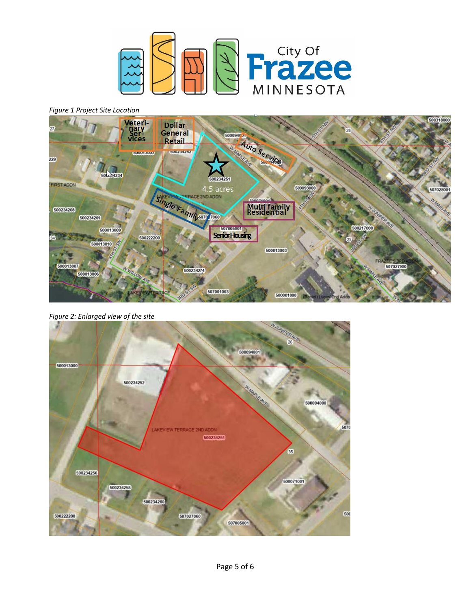

*Figure 1 Project Site Location*



*Figure 2: Enlarged view of the site*